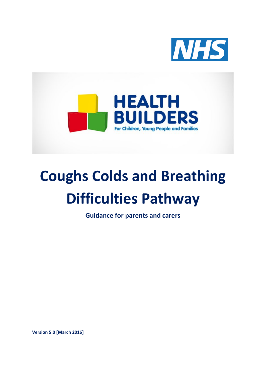



# **Coughs Colds and Breathing Difficulties Pathway**

**Guidance for parents and carers**

**Version 5.0 [March 2016]**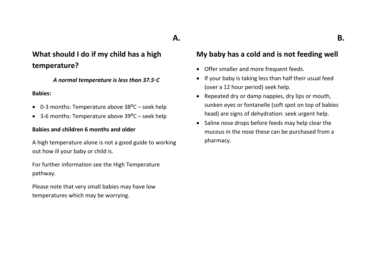## **A.**

## **What should I do if my child has a high temperature?**

*A normal temperature is less than 37.5◦C*

#### **Babies:**

- $\bullet$  0-3 months: Temperature above 38 $\degree$ C seek help
- 3-6 months: Temperature above  $39^{\circ}$ C seek help

#### **Babies and children 6 months and older**

A high temperature alone is not a good guide to working out how ill your baby or child is.

For further information see the High Temperature pathway.

Please note that very small babies may have low temperatures which may be worrying.

#### **My baby has a cold and is not feeding well**

- Offer smaller and more frequent feeds.
- If your baby is taking less than half their usual feed (over a 12 hour period) seek help.
- Repeated dry or damp nappies, dry lips or mouth, sunken eyes or fontanelle (soft spot on top of babies head) are signs of dehydration: seek urgent help.
- Saline nose drops before feeds may help clear the mucous in the nose these can be purchased from a pharmacy.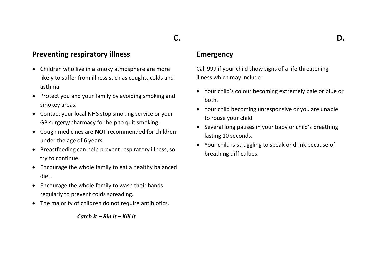# **C.**

#### **Preventing respiratory illness**

- Children who live in a smoky atmosphere are more likely to suffer from illness such as coughs, colds and asthma.
- Protect you and your family by avoiding smoking and smokey areas.
- Contact your local NHS stop smoking service or your GP surgery/pharmacy for help to quit smoking.
- Cough medicines are **NOT** recommended for children under the age of 6 years.
- Breastfeeding can help prevent respiratory illness, so try to continue.
- Encourage the whole family to eat a healthy balanced diet.
- Encourage the whole family to wash their hands regularly to prevent colds spreading.
- The majority of children do not require antibiotics.

*Catch it – Bin it – Kill it*

#### **Emergency**

Call 999 if your child show signs of a life threatening illness which may include:

- Your child's colour becoming extremely pale or blue or both.
- Your child becoming unresponsive or you are unable to rouse your child.
- Several long pauses in your baby or child's breathing lasting 10 seconds.
- Your child is struggling to speak or drink because of breathing difficulties.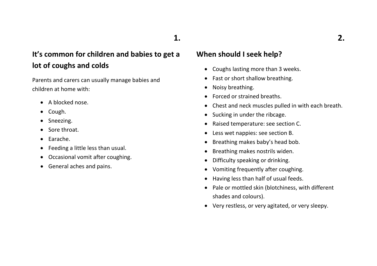## **It's common for children and babies to get a lot of coughs and colds**

Parents and carers can usually manage babies and children at home with:

- A blocked nose.
- Cough.
- Sneezing.
- Sore throat.
- Earache.
- Feeding a little less than usual.
- Occasional vomit after coughing.
- General aches and pains.

#### **When should I seek help?**

- Coughs lasting more than 3 weeks.
- Fast or short shallow breathing.
- Noisy breathing.
- Forced or strained breaths.
- Chest and neck muscles pulled in with each breath.
- Sucking in under the ribcage.
- Raised temperature: see section C.
- Less wet nappies: see section B.
- Breathing makes baby's head bob.
- Breathing makes nostrils widen.
- Difficulty speaking or drinking.
- Vomiting frequently after coughing.
- Having less than half of usual feeds.
- Pale or mottled skin (blotchiness, with different shades and colours).
- Very restless, or very agitated, or very sleepy.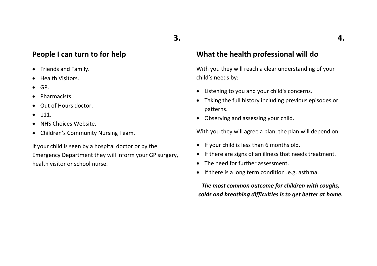#### **People I can turn to for help**

- Friends and Family.
- Health Visitors.
- $\bullet$  GP.
- Pharmacists.
- Out of Hours doctor.
- 111.
- NHS Choices Website.
- Children's Community Nursing Team.

If your child is seen by a hospital doctor or by the Emergency Department they will inform your GP surgery, health visitor or school nurse.

#### **What the health professional will do**

With you they will reach a clear understanding of your child's needs by:

- Listening to you and your child's concerns.
- Taking the full history including previous episodes or patterns.
- Observing and assessing your child.

With you they will agree a plan, the plan will depend on:

- If your child is less than 6 months old.
- If there are signs of an illness that needs treatment.
- The need for further assessment.
- If there is a long term condition .e.g. asthma.

*The most common outcome for children with coughs, colds and breathing difficulties is to get better at home.*